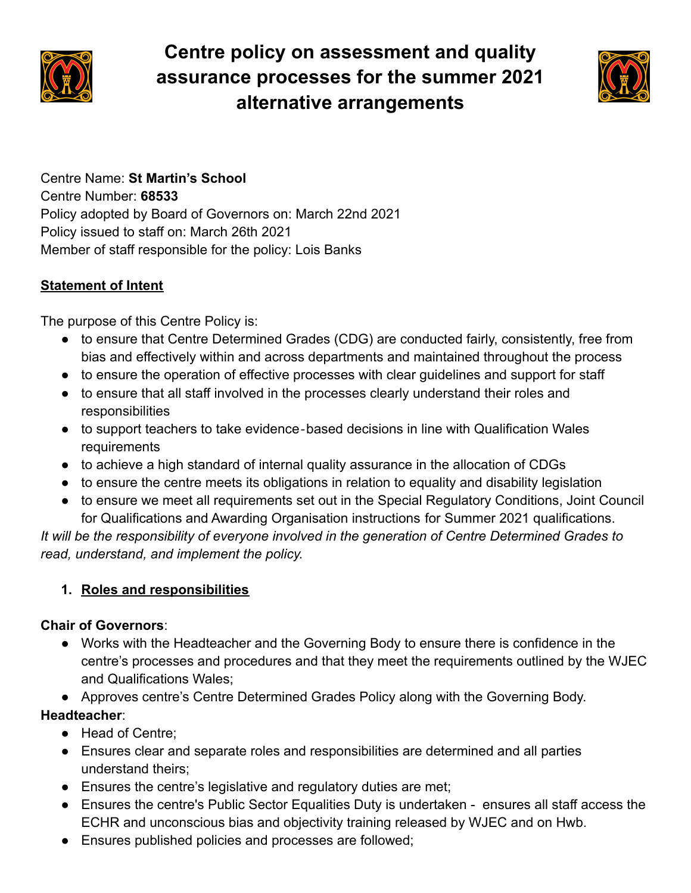

# **Centre policy on assessment and quality assurance processes for the summer 2021 alternative arrangements**



Centre Name: **St Martin's School** Centre Number: **68533** Policy adopted by Board of Governors on: March 22nd 2021 Policy issued to staff on: March 26th 2021 Member of staff responsible for the policy: Lois Banks

#### **Statement of Intent**

The purpose of this Centre Policy is:

- to ensure that Centre Determined Grades (CDG) are conducted fairly, consistently, free from bias and effectively within and across departments and maintained throughout the process
- to ensure the operation of effective processes with clear guidelines and support for staff
- to ensure that all staff involved in the processes clearly understand their roles and responsibilities
- to support teachers to take evidence-based decisions in line with Qualification Wales requirements
- to achieve a high standard of internal quality assurance in the allocation of CDGs
- to ensure the centre meets its obligations in relation to equality and disability legislation
- to ensure we meet all requirements set out in the Special Regulatory Conditions, Joint Council for Qualifications and Awarding Organisation instructions for Summer 2021 qualifications.

*It will be the responsibility of everyone involved in the generation of Centre Determined Grades to read, understand, and implement the policy.*

## **1. Roles and responsibilities**

#### **Chair of Governors**:

● Works with the Headteacher and the Governing Body to ensure there is confidence in the centre's processes and procedures and that they meet the requirements outlined by the WJEC and Qualifications Wales;

● Approves centre's Centre Determined Grades Policy along with the Governing Body. **Headteacher**:

- Head of Centre:
- Ensures clear and separate roles and responsibilities are determined and all parties understand theirs;
- Ensures the centre's legislative and regulatory duties are met;
- Ensures the centre's Public Sector Equalities Duty is undertaken ensures all staff access the ECHR and unconscious bias and objectivity training released by WJEC and on Hwb.
- Ensures published policies and processes are followed;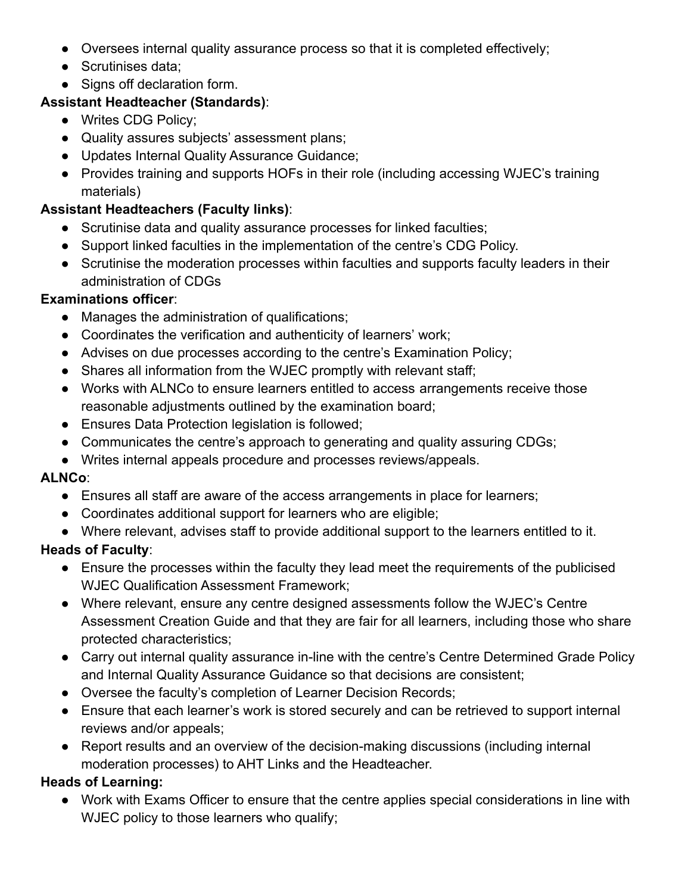- Oversees internal quality assurance process so that it is completed effectively;
- Scrutinises data;
- Signs off declaration form.

#### **Assistant Headteacher (Standards)**:

- Writes CDG Policy;
- Quality assures subjects' assessment plans;
- Updates Internal Quality Assurance Guidance;
- Provides training and supports HOFs in their role (including accessing WJEC's training materials)

#### **Assistant Headteachers (Faculty links)**:

- Scrutinise data and quality assurance processes for linked faculties;
- Support linked faculties in the implementation of the centre's CDG Policy.
- Scrutinise the moderation processes within faculties and supports faculty leaders in their administration of CDGs

#### **Examinations officer**:

- Manages the administration of qualifications;
- Coordinates the verification and authenticity of learners' work;
- Advises on due processes according to the centre's Examination Policy;
- Shares all information from the WJEC promptly with relevant staff;
- Works with ALNCo to ensure learners entitled to access arrangements receive those reasonable adjustments outlined by the examination board;
- Ensures Data Protection legislation is followed;
- Communicates the centre's approach to generating and quality assuring CDGs;
- Writes internal appeals procedure and processes reviews/appeals.

#### **ALNCo**:

- Ensures all staff are aware of the access arrangements in place for learners;
- Coordinates additional support for learners who are eligible;
- Where relevant, advises staff to provide additional support to the learners entitled to it.

## **Heads of Faculty**:

- Ensure the processes within the faculty they lead meet the requirements of the publicised WJEC Qualification Assessment Framework;
- Where relevant, ensure any centre designed assessments follow the WJEC's Centre Assessment Creation Guide and that they are fair for all learners, including those who share protected characteristics;
- Carry out internal quality assurance in-line with the centre's Centre Determined Grade Policy and Internal Quality Assurance Guidance so that decisions are consistent;
- Oversee the faculty's completion of Learner Decision Records;
- Ensure that each learner's work is stored securely and can be retrieved to support internal reviews and/or appeals;
- Report results and an overview of the decision-making discussions (including internal moderation processes) to AHT Links and the Headteacher.

## **Heads of Learning:**

● Work with Exams Officer to ensure that the centre applies special considerations in line with WJEC policy to those learners who qualify;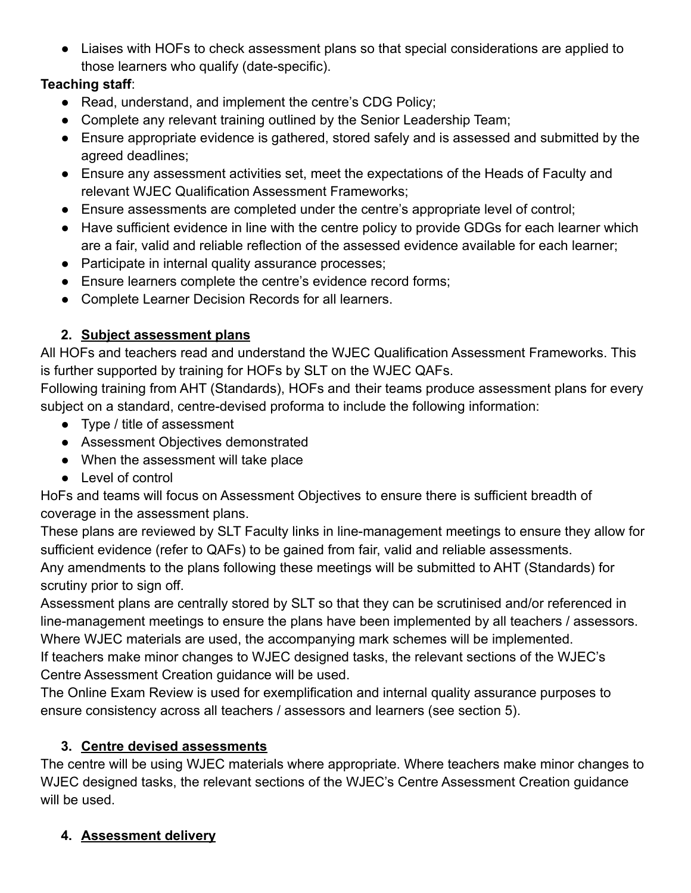● Liaises with HOFs to check assessment plans so that special considerations are applied to those learners who qualify (date-specific).

#### **Teaching staff**:

- Read, understand, and implement the centre's CDG Policy;
- Complete any relevant training outlined by the Senior Leadership Team;
- Ensure appropriate evidence is gathered, stored safely and is assessed and submitted by the agreed deadlines;
- Ensure any assessment activities set, meet the expectations of the Heads of Faculty and relevant WJEC Qualification Assessment Frameworks;
- Ensure assessments are completed under the centre's appropriate level of control;
- Have sufficient evidence in line with the centre policy to provide GDGs for each learner which are a fair, valid and reliable reflection of the assessed evidence available for each learner;
- Participate in internal quality assurance processes;
- Ensure learners complete the centre's evidence record forms;
- Complete Learner Decision Records for all learners.

## **2. Subject assessment plans**

All HOFs and teachers read and understand the WJEC Qualification Assessment Frameworks. This is further supported by training for HOFs by SLT on the WJEC QAFs.

Following training from AHT (Standards), HOFs and their teams produce assessment plans for every subject on a standard, centre-devised proforma to include the following information:

- Type / title of assessment
- Assessment Objectives demonstrated
- When the assessment will take place
- Level of control

HoFs and teams will focus on Assessment Objectives to ensure there is sufficient breadth of coverage in the assessment plans.

These plans are reviewed by SLT Faculty links in line-management meetings to ensure they allow for sufficient evidence (refer to QAFs) to be gained from fair, valid and reliable assessments. Any amendments to the plans following these meetings will be submitted to AHT (Standards) for scrutiny prior to sign off.

Assessment plans are centrally stored by SLT so that they can be scrutinised and/or referenced in line-management meetings to ensure the plans have been implemented by all teachers / assessors. Where WJEC materials are used, the accompanying mark schemes will be implemented. If teachers make minor changes to WJEC designed tasks, the relevant sections of the WJEC's Centre Assessment Creation guidance will be used.

The Online Exam Review is used for exemplification and internal quality assurance purposes to ensure consistency across all teachers / assessors and learners (see section 5).

## **3. Centre devised assessments**

The centre will be using WJEC materials where appropriate. Where teachers make minor changes to WJEC designed tasks, the relevant sections of the WJEC's Centre Assessment Creation guidance will be used.

# **4. Assessment delivery**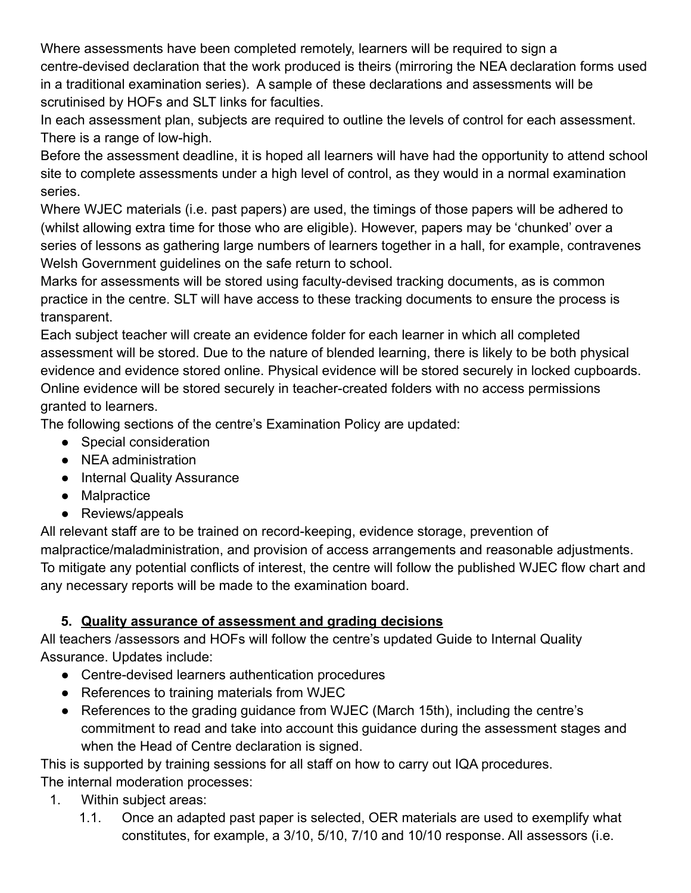Where assessments have been completed remotely, learners will be required to sign a centre-devised declaration that the work produced is theirs (mirroring the NEA declaration forms used in a traditional examination series). A sample of these declarations and assessments will be scrutinised by HOFs and SLT links for faculties.

In each assessment plan, subjects are required to outline the levels of control for each assessment. There is a range of low-high.

Before the assessment deadline, it is hoped all learners will have had the opportunity to attend school site to complete assessments under a high level of control, as they would in a normal examination series.

Where WJEC materials (i.e. past papers) are used, the timings of those papers will be adhered to (whilst allowing extra time for those who are eligible). However, papers may be 'chunked' over a series of lessons as gathering large numbers of learners together in a hall, for example, contravenes Welsh Government guidelines on the safe return to school.

Marks for assessments will be stored using faculty-devised tracking documents, as is common practice in the centre. SLT will have access to these tracking documents to ensure the process is transparent.

Each subject teacher will create an evidence folder for each learner in which all completed assessment will be stored. Due to the nature of blended learning, there is likely to be both physical evidence and evidence stored online. Physical evidence will be stored securely in locked cupboards. Online evidence will be stored securely in teacher-created folders with no access permissions granted to learners.

The following sections of the centre's Examination Policy are updated:

- Special consideration
- NEA administration
- Internal Quality Assurance
- Malpractice
- Reviews/appeals

All relevant staff are to be trained on record-keeping, evidence storage, prevention of malpractice/maladministration, and provision of access arrangements and reasonable adjustments. To mitigate any potential conflicts of interest, the centre will follow the published WJEC flow chart and any necessary reports will be made to the examination board.

## **5. Quality assurance of assessment and grading decisions**

All teachers /assessors and HOFs will follow the centre's updated Guide to Internal Quality Assurance. Updates include:

- Centre-devised learners authentication procedures
- References to training materials from WJEC
- References to the grading quidance from WJEC (March 15th), including the centre's commitment to read and take into account this guidance during the assessment stages and when the Head of Centre declaration is signed.

This is supported by training sessions for all staff on how to carry out IQA procedures. The internal moderation processes:

- 1. Within subject areas:
	- 1.1. Once an adapted past paper is selected, OER materials are used to exemplify what constitutes, for example, a 3/10, 5/10, 7/10 and 10/10 response. All assessors (i.e.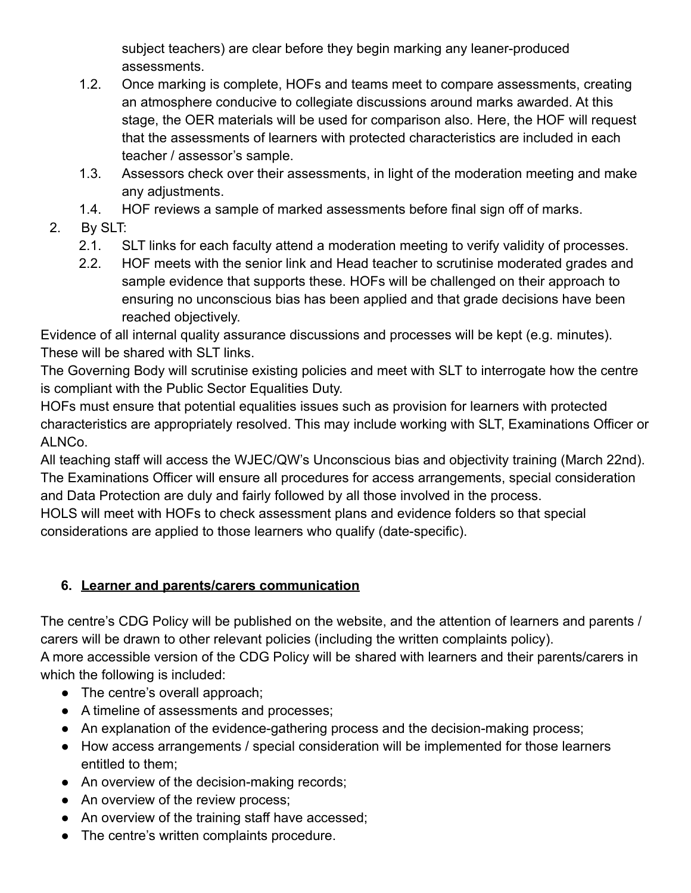subject teachers) are clear before they begin marking any leaner-produced assessments.

- 1.2. Once marking is complete, HOFs and teams meet to compare assessments, creating an atmosphere conducive to collegiate discussions around marks awarded. At this stage, the OER materials will be used for comparison also. Here, the HOF will request that the assessments of learners with protected characteristics are included in each teacher / assessor's sample.
- 1.3. Assessors check over their assessments, in light of the moderation meeting and make any adjustments.
- 1.4. HOF reviews a sample of marked assessments before final sign off of marks.
- 2. By SLT:
	- 2.1. SLT links for each faculty attend a moderation meeting to verify validity of processes.
	- 2.2. HOF meets with the senior link and Head teacher to scrutinise moderated grades and sample evidence that supports these. HOFs will be challenged on their approach to ensuring no unconscious bias has been applied and that grade decisions have been reached objectively.

Evidence of all internal quality assurance discussions and processes will be kept (e.g. minutes). These will be shared with SLT links.

The Governing Body will scrutinise existing policies and meet with SLT to interrogate how the centre is compliant with the Public Sector Equalities Duty.

HOFs must ensure that potential equalities issues such as provision for learners with protected characteristics are appropriately resolved. This may include working with SLT, Examinations Officer or ALNCo.

All teaching staff will access the WJEC/QW's Unconscious bias and objectivity training (March 22nd). The Examinations Officer will ensure all procedures for access arrangements, special consideration and Data Protection are duly and fairly followed by all those involved in the process.

HOLS will meet with HOFs to check assessment plans and evidence folders so that special considerations are applied to those learners who qualify (date-specific).

# **6. Learner and parents/carers communication**

The centre's CDG Policy will be published on the website, and the attention of learners and parents / carers will be drawn to other relevant policies (including the written complaints policy). A more accessible version of the CDG Policy will be shared with learners and their parents/carers in which the following is included:

- The centre's overall approach;
- A timeline of assessments and processes;
- An explanation of the evidence-gathering process and the decision-making process;
- How access arrangements / special consideration will be implemented for those learners entitled to them;
- An overview of the decision-making records;
- An overview of the review process;
- An overview of the training staff have accessed;
- The centre's written complaints procedure.